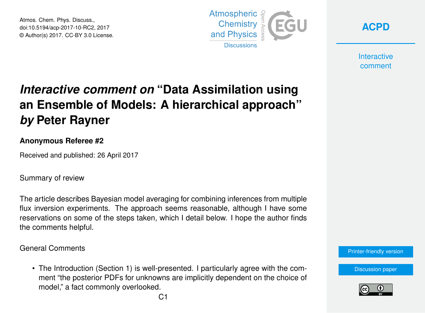Atmos. Chem. Phys. Discuss., doi:10.5194/acp-2017-10-RC2, 2017 © Author(s) 2017. CC-BY 3.0 License.



**[ACPD](http://www.atmos-chem-phys-discuss.net/)**

**Interactive** comment

## *Interactive comment on* **"Data Assimilation using an Ensemble of Models: A hierarchical approach"** *by* **Peter Rayner**

## **Anonymous Referee #2**

Received and published: 26 April 2017

Summary of review

The article describes Bayesian model averaging for combining inferences from multiple flux inversion experiments. The approach seems reasonable, although I have some reservations on some of the steps taken, which I detail below. I hope the author finds the comments helpful.

General Comments

• The Introduction (Section 1) is well-presented. I particularly agree with the comment "the posterior PDFs for unknowns are implicitly dependent on the choice of model," a fact commonly overlooked.



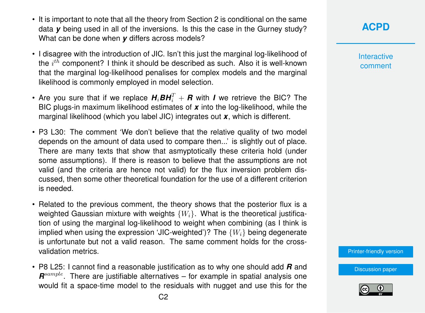- It is important to note that all the theory from Section 2 is conditional on the same data *y* being used in all of the inversions. Is this the case in the Gurney study? What can be done when *y* differs across models?
- I disagree with the introduction of JIC. Isn't this just the marginal log-likelihood of the  $i^{th}$  component? I think it should be described as such. Also it is well-known that the marginal log-likelihood penalises for complex models and the marginal likelihood is commonly employed in model selection.
- Are you sure that if we replace  $H_i$ *BH* $_i^T + R$  with *I* we retrieve the BIC? The BIC plugs-in maximum likelihood estimates of *x* into the log-likelihood, while the marginal likelihood (which you label JIC) integrates out *x*, which is different.
- P3 L30: The comment 'We don't believe that the relative quality of two model depends on the amount of data used to compare then...' is slightly out of place. There are many texts that show that asmyptotically these criteria hold (under some assumptions). If there is reason to believe that the assumptions are not valid (and the criteria are hence not valid) for the flux inversion problem discussed, then some other theoretical foundation for the use of a different criterion is needed.
- Related to the previous comment, the theory shows that the posterior flux is a weighted Gaussian mixture with weights  $\{W_i\}$ . What is the theoretical justification of using the marginal log-likelihood to weight when combining (as I think is implied when using the expression 'JIC-weighted')? The  $\{W_i\}$  being degenerate is unfortunate but not a valid reason. The same comment holds for the crossvalidation metrics.
- P8 L25: I cannot find a reasonable justification as to why one should add *R* and  $\mathbf{R}^{sample}$ . There are justifiable alternatives – for example in spatial analysis one would fit a space-time model to the residuals with nugget and use this for the

**Interactive** comment

[Printer-friendly version](http://www.atmos-chem-phys-discuss.net/acp-2017-10/acp-2017-10-RC2-print.pdf)

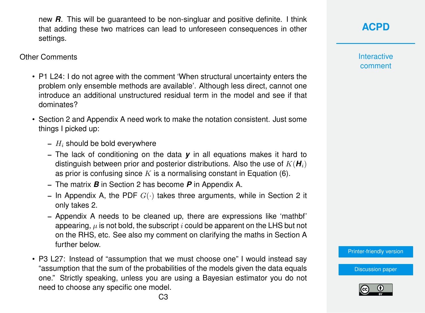new *R*. This will be guaranteed to be non-singluar and positive definite. I think that adding these two matrices can lead to unforeseen consequences in other settings.

Other Comments

- P1 L24: I do not agree with the comment 'When structural uncertainty enters the problem only ensemble methods are available'. Although less direct, cannot one introduce an additional unstructured residual term in the model and see if that dominates?
- Section 2 and Appendix A need work to make the notation consistent. Just some things I picked up:
	- $H_i$  should be bold everywhere
	- The lack of conditioning on the data *y* in all equations makes it hard to distinguish between prior and posterior distributions. Also the use of  $K(H_i)$ as prior is confusing since  $K$  is a normalising constant in Equation (6).
	- The matrix *B* in Section 2 has become *P* in Appendix A.
	- In Appendix A, the PDF  $G(\cdot)$  takes three arguments, while in Section 2 it only takes 2.
	- Appendix A needs to be cleaned up, there are expressions like 'mathbf' appearing,  $\mu$  is not bold, the subscript i could be apparent on the LHS but not on the RHS, etc. See also my comment on clarifying the maths in Section A further below.
- P3 L27: Instead of "assumption that we must choose one" I would instead say "assumption that the sum of the probabilities of the models given the data equals one." Strictly speaking, unless you are using a Bayesian estimator you do not need to choose any specific one model.

**Interactive** comment

[Printer-friendly version](http://www.atmos-chem-phys-discuss.net/acp-2017-10/acp-2017-10-RC2-print.pdf)